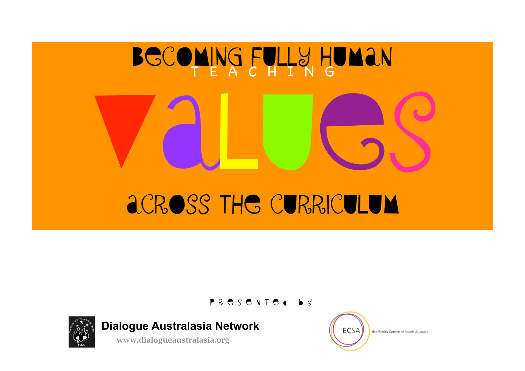# BECOMING FULLY HUMAN VALUES Across the curriculum T E A C H I N G

PR E S E N T E d b y



**Dialogue Australasia Network**

[www.dialogueaustralasia.org](http://www.dialogueaustralasia.org)



the Ethics Centre of South Australia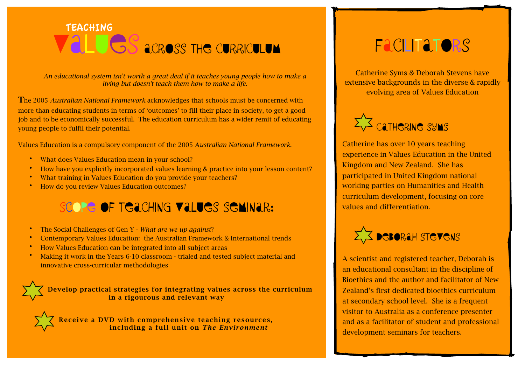## VALUES ACROSS THE CURRICULUM TEACHING

*An educational system isn't worth a great deal if it teaches young people how to make a living but doesn't teach them how to make a life.* 

The 2005 *Australian National Framework* acknowledges that schools must be concerned with more than educating students in terms of 'outcomes' to fill their place in society, to get a good job and to be economically successful. The education curriculum has a wider remit of educating young people to fulfil their potential.

Values Education is a compulsory component of the 2005 A*ustralian National Framework*.

- What does Values Education mean in your school?
- How have you explicitly incorporated values learning & practice into your lesson content?
- What training in Values Education do you provide your teachers?
- How do you review Values Education outcomes?

#### SCOPE OF TEACHING VALUES SEMINAR:

- The Social Challenges of Gen Y *What are we up against*?
- Contemporary Values Education: the Australian Framework & International trends
- How Values Education can be integrated into all subject areas
- Making it work in the Years 6-10 classroom trialed and tested subject material and innovative cross-curricular methodologies

 Develop practical strategies for integrating values across the curriculum in a rigourous and relevant way

 $R \times \sqrt{R}$  Receive a DVD with comprehensive teaching resources, including a full unit on *The Environment*

# Facilitators

Catherine Syms & Deborah Stevens have extensive backgrounds in the diverse & rapidly evolving area of Values Education



Catherine has over 10 years teaching experience in Values Education in the United Kingdom and New Zealand. She has participated in United Kingdom national working parties on Humanities and Health curriculum development, focusing on core values and differentiation.



A scientist and registered teacher, Deborah is an educational consultant in the discipline of Bioethics and the author and facilitator of New Zealand's first dedicated bioethics curriculum at secondary school level. She is a frequent visitor to Australia as a conference presenter and as a facilitator of student and professional development seminars for teachers.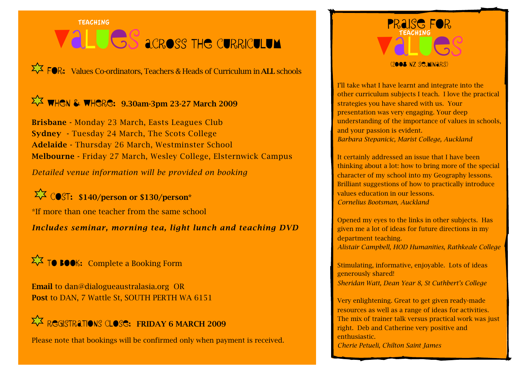### **TEACHING** VALUES ACROSS THE CURRICULUM TEACHING TEACHING

 $\overrightarrow{\mathsf{L}}$   $\overrightarrow{F}$   $\overrightarrow{F}$   $\overrightarrow{F}$ . Values Co-ordinators, Teachers & Heads of Curriculum in ALL schools

#### $\Sigma$  WHEN & WHERE: 9.30am-3pm 23-27 March 2009

Brisbane - Monday 23 March, Easts Leagues Club Sydney - Tuesday 24 March, The Scots College Adelaide - Thursday 26 March, Westminster School Melbourne - Friday 27 March, Wesley College, Elsternwick Campus

*Detailed venue information will be provided on booking*

 $\overrightarrow{\mathcal{L}}$  COST: \$140/person or \$130/person\*

\*If more than one teacher from the same school

*Includes seminar, morning tea, light lunch and teaching DVD*

 $\Sigma \overline{\times}$  TO BOOK: Complete a Booking Form

Email to [dan@dialogueaustralasia.org](mailto:dan@dialogueaustralasia.org) OR Post to DAN, 7 Wattle St, SOUTH PERTH WA 6151

#### $\Sigma$  Registrations Close: Friday 6 MARCH 2009

Please note that bookings will be confirmed only when payment is received.



I'll take what I have learnt and integrate into the other curriculum subjects I teach. I love the practical strategies you have shared with us. Your presentation was very engaging. Your deep understanding of the importance of values in schools, and your passion is evident. *Barbara Stepanicic, Marist College, Auckland*

It certainly addressed an issue that I have been thinking about a lot: how to bring more of the special character of my school into my Geography lessons. Brilliant suggestions of how to practically introduce values education in our lessons. *Cornelius Bootsman, Auckland* 

Opened my eyes to the links in other subjects. Has given me a lot of ideas for future directions in my department teaching. *Alistair Campbell, HOD Humanities, Rathkeale College*

Stimulating, informative, enjoyable. Lots of ideas generously shared! *Sheridan Watt, Dean Year 8, St Cuthbert's College*

Very enlightening. Great to get given ready-made resources as well as a range of ideas for activities. The mix of trainer talk versus practical work was just right. Deb and Catherine very positive and enthusiastic. *Cherie Petueli, Chilton Saint James*